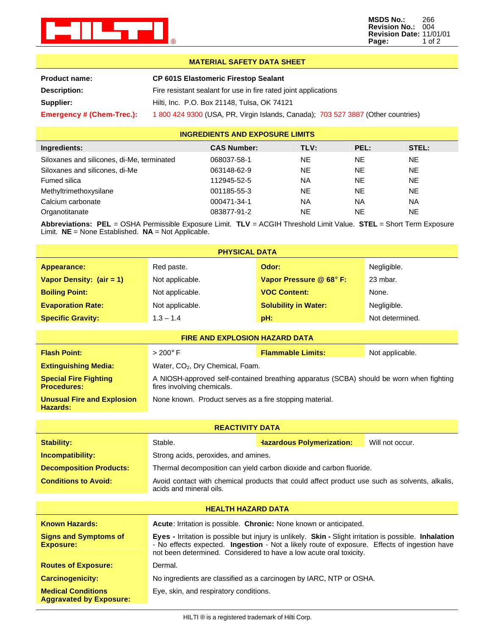

**MSDS No.:** 266 **Revision No.:** 004 **Revision Date:** 11/01/01 **Page:** 1 of 2

## **MATERIAL SAFETY DATA SHEET**

| <b>Product name:</b>      | <b>CP 601S Elastomeric Firestop Sealant</b>                                     |  |
|---------------------------|---------------------------------------------------------------------------------|--|
| Description:              | Fire resistant sealant for use in fire rated joint applications                 |  |
| Supplier:                 | Hilti, Inc. P.O. Box 21148, Tulsa, OK 74121                                     |  |
| Emergency # (Chem-Trec.): | 1800 424 9300 (USA, PR, Virgin Islands, Canada); 703 527 3887 (Other countries) |  |

## **INGREDIENTS AND EXPOSURE LIMITS**

| Ingredients:                               | <b>CAS Number:</b> | TLV:      | PEL:      | STEL: |
|--------------------------------------------|--------------------|-----------|-----------|-------|
| Siloxanes and silicones, di-Me, terminated | 068037-58-1        | NE        | NE.       | NE.   |
| Siloxanes and silicones, di-Me             | 063148-62-9        | <b>NE</b> | NE.       | NE.   |
| Fumed silica                               | 112945-52-5        | <b>NA</b> | NE.       | NE.   |
| Methyltrimethoxysilane                     | 001185-55-3        | <b>NE</b> | <b>NE</b> | NE.   |
| Calcium carbonate                          | 000471-34-1        | <b>NA</b> | <b>NA</b> | NA    |
| Organotitanate                             | 083877-91-2        | <b>NE</b> | <b>NE</b> | NE.   |

**Abbreviations: PEL** = OSHA Permissible Exposure Limit. **TLV** = ACGIH Threshold Limit Value. **STEL** = Short Term Exposure Limit. **NE** = None Established. **NA** = Not Applicable.

| <b>PHYSICAL DATA</b>       |                 |                             |                 |
|----------------------------|-----------------|-----------------------------|-----------------|
| Appearance:                | Red paste.      | Odor:                       | Negligible.     |
| Vapor Density: $(air = 1)$ | Not applicable. | Vapor Pressure @ 68° F:     | 23 mbar.        |
| <b>Boiling Point:</b>      | Not applicable. | <b>VOC Content:</b>         | None.           |
| <b>Evaporation Rate:</b>   | Not applicable. | <b>Solubility in Water:</b> | Negligible.     |
| <b>Specific Gravity:</b>   | $1.3 - 1.4$     | pH:                         | Not determined. |

| <b>FIRE AND EXPLOSION HAZARD DATA</b>                |                                                                                                                       |                          |                 |
|------------------------------------------------------|-----------------------------------------------------------------------------------------------------------------------|--------------------------|-----------------|
| <b>Flash Point:</b>                                  | $>200^\circ$ F                                                                                                        | <b>Flammable Limits:</b> | Not applicable. |
| <b>Extinguishing Media:</b>                          | Water, CO <sub>2</sub> , Dry Chemical, Foam.                                                                          |                          |                 |
| <b>Special Fire Fighting</b><br><b>Procedures:</b>   | A NIOSH-approved self-contained breathing apparatus (SCBA) should be worn when fighting<br>fires involving chemicals. |                          |                 |
| <b>Unusual Fire and Explosion</b><br><b>Hazards:</b> | None known. Product serves as a fire stopping material.                                                               |                          |                 |

| <b>REACTIVITY DATA</b>                                      |                                                                                                                          |                                                                                                                                                                                                                                                                                                   |                 |
|-------------------------------------------------------------|--------------------------------------------------------------------------------------------------------------------------|---------------------------------------------------------------------------------------------------------------------------------------------------------------------------------------------------------------------------------------------------------------------------------------------------|-----------------|
| <b>Stability:</b>                                           | Stable.                                                                                                                  | <b>Hazardous Polymerization:</b>                                                                                                                                                                                                                                                                  | Will not occur. |
| Incompatibility:                                            | Strong acids, peroxides, and amines.                                                                                     |                                                                                                                                                                                                                                                                                                   |                 |
| <b>Decomposition Products:</b>                              |                                                                                                                          | Thermal decomposition can yield carbon dioxide and carbon fluoride.                                                                                                                                                                                                                               |                 |
| <b>Conditions to Avoid:</b>                                 | Avoid contact with chemical products that could affect product use such as solvents, alkalis,<br>acids and mineral oils. |                                                                                                                                                                                                                                                                                                   |                 |
| <b>HEALTH HAZARD DATA</b>                                   |                                                                                                                          |                                                                                                                                                                                                                                                                                                   |                 |
| <b>Known Hazards:</b>                                       |                                                                                                                          | <b>Acute:</b> Irritation is possible. <b>Chronic:</b> None known or anticipated.                                                                                                                                                                                                                  |                 |
| <b>Signs and Symptoms of</b><br><b>Exposure:</b>            |                                                                                                                          | <b>Eyes -</b> Irritation is possible but injury is unlikely. <b>Skin -</b> Slight irritation is possible. <b>Inhalation</b><br>- No effects expected. Ingestion - Not a likely route of exposure. Effects of ingestion have<br>not been determined. Considered to have a low acute oral toxicity. |                 |
| <b>Routes of Exposure:</b>                                  | Dermal.                                                                                                                  |                                                                                                                                                                                                                                                                                                   |                 |
| <b>Carcinogenicity:</b>                                     |                                                                                                                          | No ingredients are classified as a carcinogen by IARC, NTP or OSHA.                                                                                                                                                                                                                               |                 |
| <b>Medical Conditions</b><br><b>Aggravated by Exposure:</b> | Eye, skin, and respiratory conditions.                                                                                   |                                                                                                                                                                                                                                                                                                   |                 |